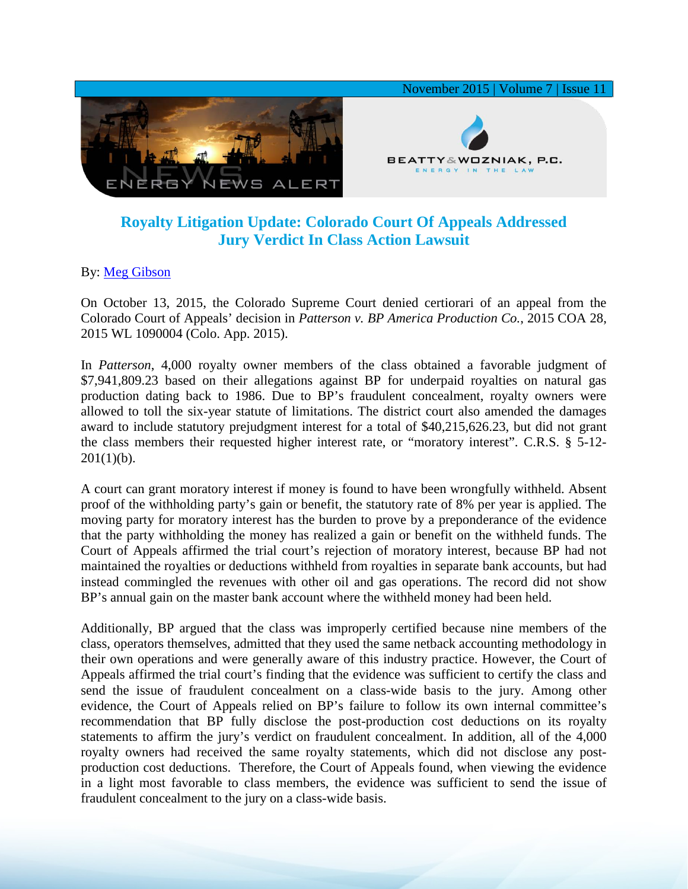

## **Royalty Litigation Update: Colorado Court Of Appeals Addressed Jury Verdict In Class Action Lawsuit**

By: [Meg Gibson](http://www.bwenergylaw.com/#!meg-gibson/c1afh)

On October 13, 2015, the Colorado Supreme Court denied certiorari of an appeal from the Colorado Court of Appeals' decision in *Patterson v. BP America Production Co.*, 2015 COA 28, 2015 WL 1090004 (Colo. App. 2015).

In *Patterson*, 4,000 royalty owner members of the class obtained a favorable judgment of \$7,941,809.23 based on their allegations against BP for underpaid royalties on natural gas production dating back to 1986. Due to BP's fraudulent concealment, royalty owners were allowed to toll the six-year statute of limitations. The district court also amended the damages award to include statutory prejudgment interest for a total of \$40,215,626.23, but did not grant the class members their requested higher interest rate, or "moratory interest". C.R.S. § 5-12-  $201(1)(b)$ .

A court can grant moratory interest if money is found to have been wrongfully withheld. Absent proof of the withholding party's gain or benefit, the statutory rate of 8% per year is applied. The moving party for moratory interest has the burden to prove by a preponderance of the evidence that the party withholding the money has realized a gain or benefit on the withheld funds. The Court of Appeals affirmed the trial court's rejection of moratory interest, because BP had not maintained the royalties or deductions withheld from royalties in separate bank accounts, but had instead commingled the revenues with other oil and gas operations. The record did not show BP's annual gain on the master bank account where the withheld money had been held.

Additionally, BP argued that the class was improperly certified because nine members of the class, operators themselves, admitted that they used the same netback accounting methodology in their own operations and were generally aware of this industry practice. However, the Court of Appeals affirmed the trial court's finding that the evidence was sufficient to certify the class and send the issue of fraudulent concealment on a class-wide basis to the jury. Among other evidence, the Court of Appeals relied on BP's failure to follow its own internal committee's recommendation that BP fully disclose the post-production cost deductions on its royalty statements to affirm the jury's verdict on fraudulent concealment. In addition, all of the 4,000 royalty owners had received the same royalty statements, which did not disclose any postproduction cost deductions. Therefore, the Court of Appeals found, when viewing the evidence in a light most favorable to class members, the evidence was sufficient to send the issue of fraudulent concealment to the jury on a class-wide basis.